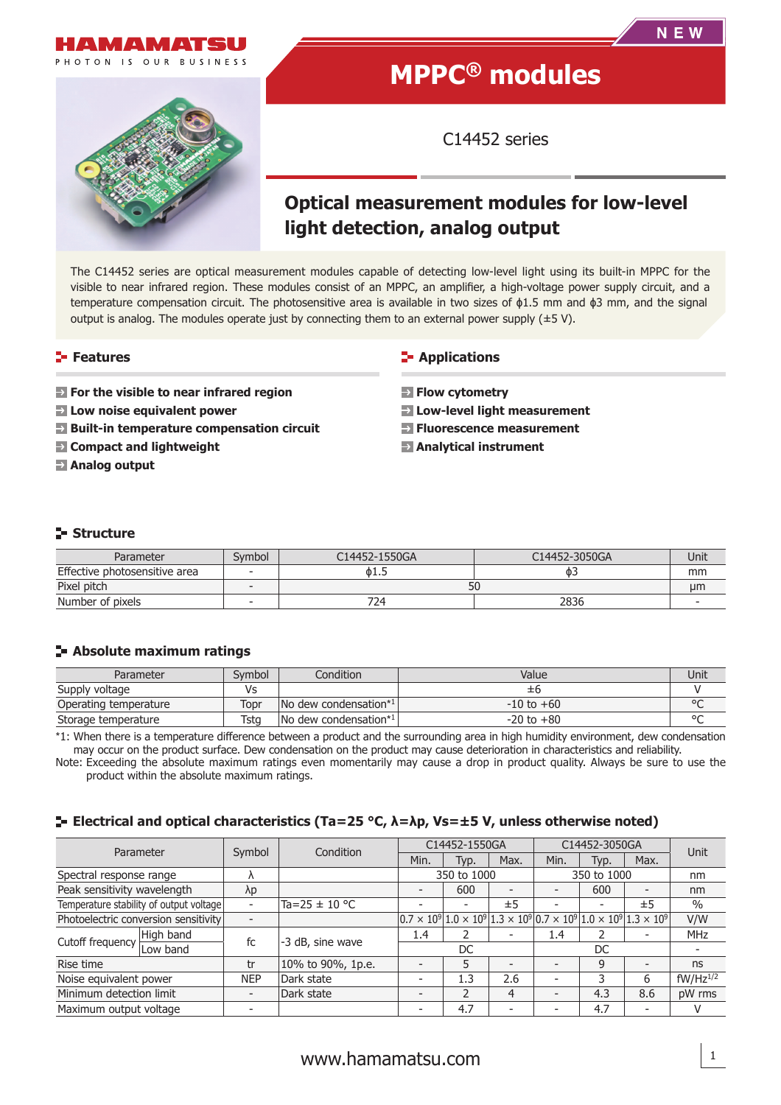

# **MPPC® modules**

C14452 series

# **Optical measurement modules for low-level light detection, analog output**

The C14452 series are optical measurement modules capable of detecting low-level light using its built-in MPPC for the visible to near infrared region. These modules consist of an MPPC, an amplifier, a high-voltage power supply circuit, and a temperature compensation circuit. The photosensitive area is available in two sizes of ϕ1.5 mm and ϕ3 mm, and the signal output is analog. The modules operate just by connecting them to an external power supply  $(\pm 5 \text{ V})$ .

### **Features**

- **For the visible to near infrared region**
- **Low noise equivalent power**
- **Built-in temperature compensation circuit**
- **Compact and lightweight**
- **Analog output**

### **E-** Applications

- **Exercise Flow cytometry**
- **Low-level light measurement**
- **Fluorescence measurement**
- **Analytical instrument**

# **Structure**

| Parameter                     | Svmbol | C14452-1550GA | C14452-3050GA | Unit |
|-------------------------------|--------|---------------|---------------|------|
| Effective photosensitive area |        | 01.5          |               | mm   |
| Pixel pitch                   |        | 50            |               | µm   |
| Number of pixels              |        | 724.          | 2836          |      |

### **Absolute maximum ratings**

| Parameter             | Svmbol | Condition                                 | Value          | Unit    |
|-----------------------|--------|-------------------------------------------|----------------|---------|
| Supply voltage        | /s     |                                           | ±h             |         |
| Operating temperature | Topr   | No dew condensation*1                     | $-10$ to $+60$ | $\circ$ |
| Storage temperature   | Tsta   | $\sqrt{N}$ dew condensation <sup>*1</sup> | $-20$ to $+80$ | $\circ$ |

\*1: When there is a temperature difference between a product and the surrounding area in high humidity environment, dew condensation may occur on the product surface. Dew condensation on the product may cause deterioration in characteristics and reliability.

Note: Exceeding the absolute maximum ratings even momentarily may cause a drop in product quality. Always be sure to use the product within the absolute maximum ratings.

#### **Electrical and optical characteristics (Ta=25 °C, λ=λp, Vs=±5 V, unless otherwise noted)**

| Parameter                              |                                         |            | Condition         | C14452-1550GA                                                                                                                              |                          | C14452-3050GA  |      | Unit |      |               |
|----------------------------------------|-----------------------------------------|------------|-------------------|--------------------------------------------------------------------------------------------------------------------------------------------|--------------------------|----------------|------|------|------|---------------|
|                                        |                                         | Symbol     |                   | Min.                                                                                                                                       | Typ.                     | Max.           | Min. | Typ. | Max. |               |
| Spectral response range                |                                         | Λ          |                   | 350 to 1000                                                                                                                                |                          | 350 to 1000    |      | nm   |      |               |
| Peak sensitivity wavelength            |                                         | λp         |                   |                                                                                                                                            | 600                      |                |      | 600  |      | nm            |
|                                        | Temperature stability of output voltage | -          | Ta=25 ± 10 °C     |                                                                                                                                            | $\overline{\phantom{0}}$ | ±5             |      |      | ±5   | $\%$          |
|                                        | Photoelectric conversion sensitivity    |            |                   | $\left 0.7 \times 10^9\right 1.0 \times 10^9\left 1.3 \times 10^9\right 0.7 \times 10^9\left 1.0 \times 10^9\right 1.3 \times 10^9\right $ |                          |                |      |      |      | V/W           |
| High band<br>Cutoff frequency Low band |                                         | fc         | -3 dB, sine wave  | 1.4                                                                                                                                        |                          |                | 1.4  |      |      | <b>MHz</b>    |
|                                        |                                         |            |                   | DC                                                                                                                                         |                          | DC             |      |      |      |               |
| Rise time                              |                                         | tr         | 10% to 90%, 1p.e. |                                                                                                                                            | 5                        |                |      | 9    |      | ns            |
| Noise equivalent power                 |                                         | <b>NEP</b> | Dark state        | $\overline{\phantom{a}}$                                                                                                                   | 1.3                      | 2.6            |      |      | 6    | $fW/Hz^{1/2}$ |
| Minimum detection limit                |                                         |            | Dark state        |                                                                                                                                            | $\mathfrak{p}$           | $\overline{4}$ |      | 4.3  | 8.6  | pW rms        |
| Maximum output voltage                 |                                         |            |                   |                                                                                                                                            | 4.7                      |                |      | 4.7  |      | v             |

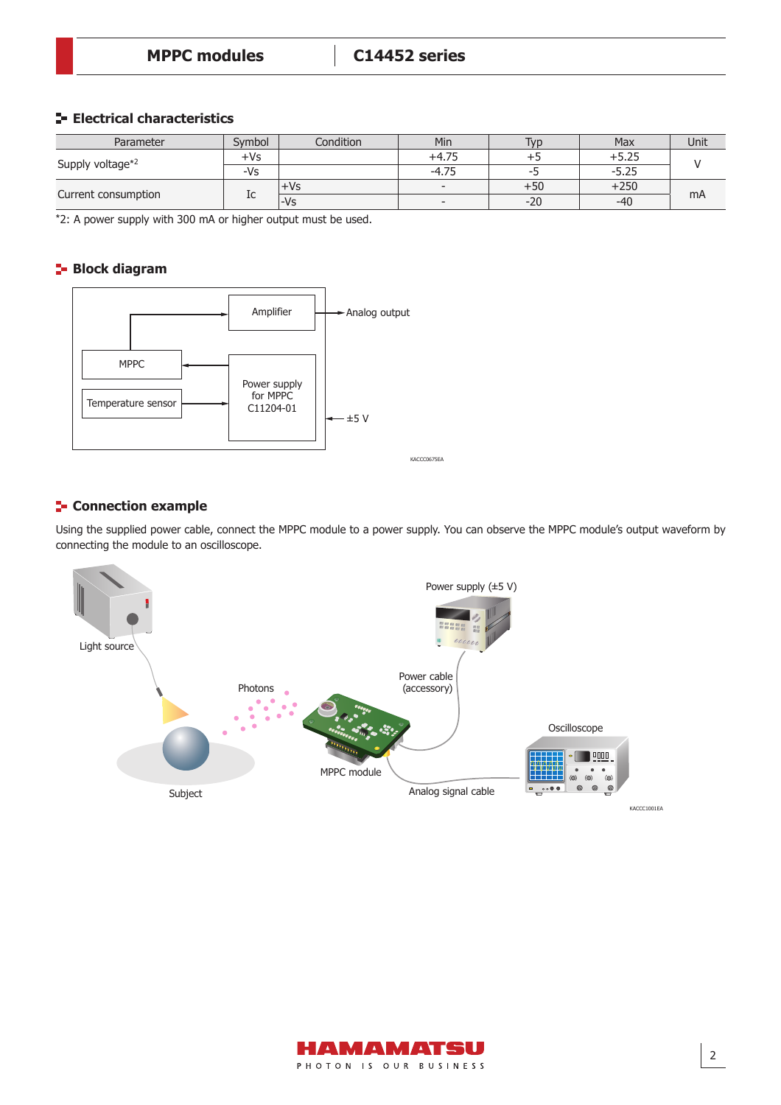# **Electrical characteristics**

| Parameter           | Svmbol | Condition | Min                      | T <sub>VD</sub> | Max     | Unit |  |
|---------------------|--------|-----------|--------------------------|-----------------|---------|------|--|
| Supply voltage*2    | +Vs    | $+4.75$   |                          |                 | $+5.25$ |      |  |
|                     | -Vs    |           | $-4.75$                  | --              | $-5.25$ |      |  |
| Current consumption |        | +Vs       | $\overline{\phantom{a}}$ | +50             | $+250$  |      |  |
|                     | ТC     | l-Vs      | $\overline{\phantom{a}}$ | $-20$           | $-40$   | mA   |  |

\*2: A power supply with 300 mA or higher output must be used.

# **Block diagram**



# **F** Connection example

Using the supplied power cable, connect the MPPC module to a power supply. You can observe the MPPC module's output waveform by connecting the module to an oscilloscope.



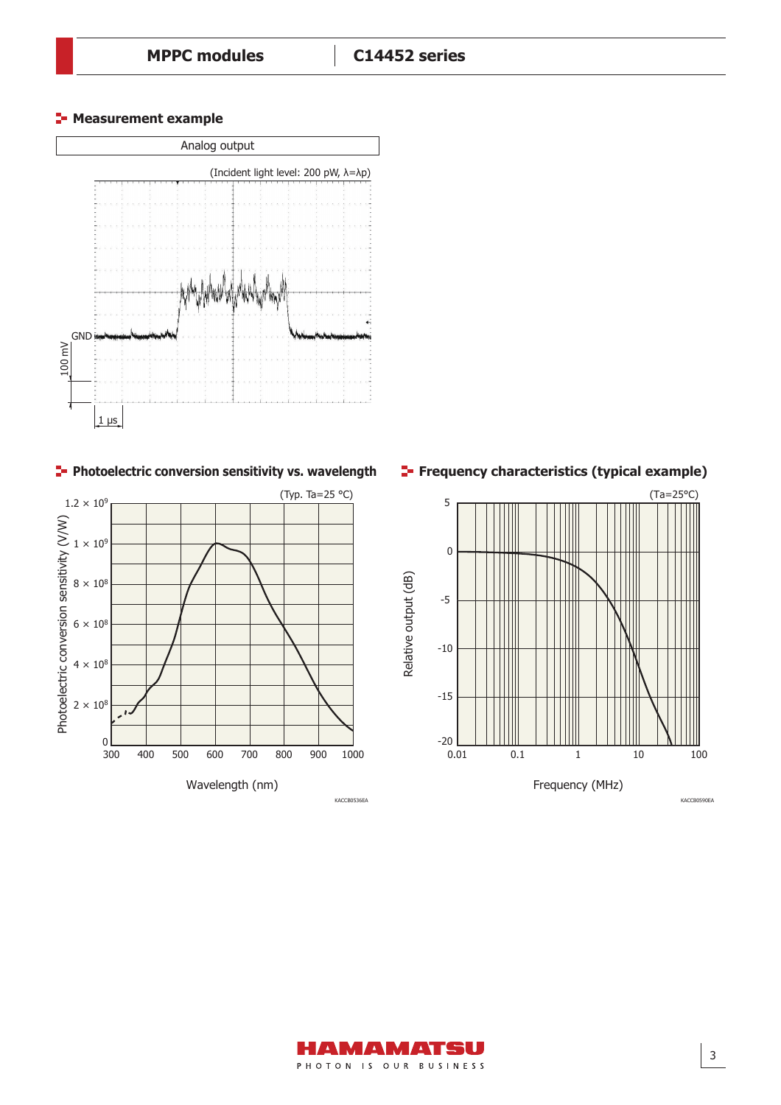**E-** Measurement example



**Photoelectric conversion sensitivity vs. wavelength** 



**Frequency characteristics (typical example)**





KACCB0590EA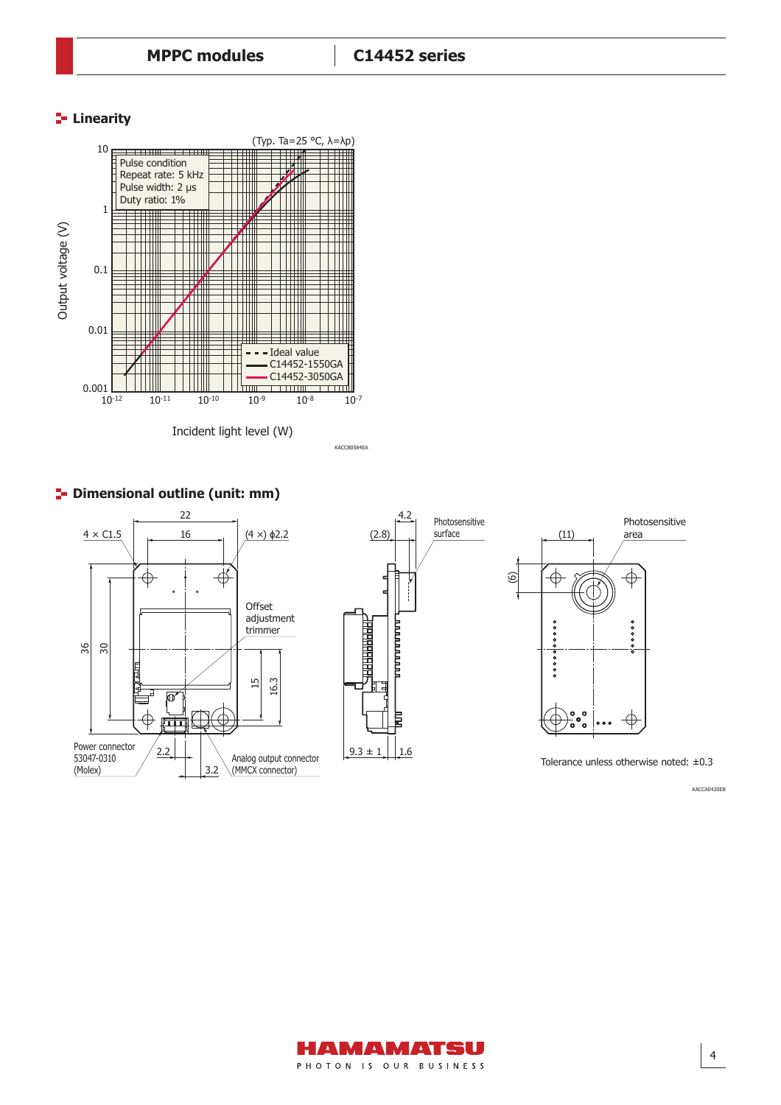# **Linearity**



# **P** Dimensional outline (unit: mm)







Tolerance unless otherwise noted: ±0.3

KACCA0420EB